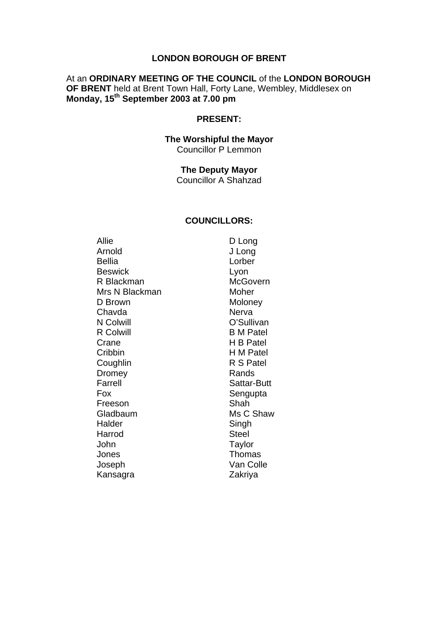#### **LONDON BOROUGH OF BRENT**

### At an **ORDINARY MEETING OF THE COUNCIL** of the **LONDON BOROUGH OF BRENT** held at Brent Town Hall, Forty Lane, Wembley, Middlesex on **Monday, 15th September 2003 at 7.00 pm**

#### **PRESENT:**

#### **The Worshipful the Mayor**  Councillor P Lemmon

### **The Deputy Mayor**

Councillor A Shahzad

#### **COUNCILLORS:**

Allie D Long Arnold J Long Bellia Lorber Beswick Lyon R Blackman McGovern Mrs N Blackman Moher D Brown Moloney Chavda Nerva N Colwill O'Sullivan R Colwill B M Patel Crane H B Patel Cribbin H M Patel Coughlin R S Patel Dromey Rands Farrell Sattar-Butt Fox Sengupta Freeson Shah Gladbaum Ms C Shaw Halder Singh Harrod Steel John Taylor Jones **Thomas** Joseph Van Colle Kansagra **Zakriya**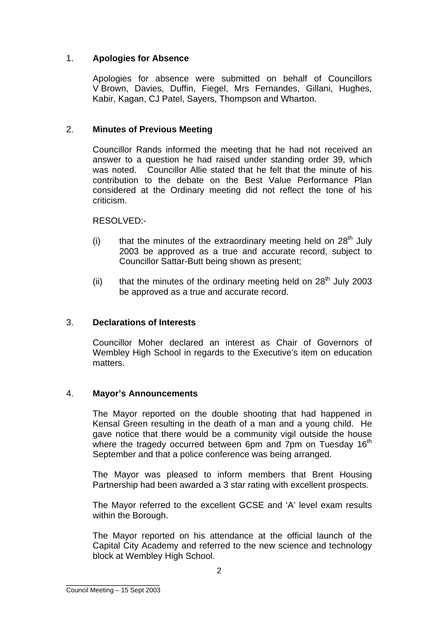# 1. **Apologies for Absence**

Apologies for absence were submitted on behalf of Councillors V Brown, Davies, Duffin, Fiegel, Mrs Fernandes, Gillani, Hughes, Kabir, Kagan, CJ Patel, Sayers, Thompson and Wharton.

## 2. **Minutes of Previous Meeting**

Councillor Rands informed the meeting that he had not received an answer to a question he had raised under standing order 39, which was noted. Councillor Allie stated that he felt that the minute of his contribution to the debate on the Best Value Performance Plan considered at the Ordinary meeting did not reflect the tone of his criticism.

### RESOLVED:-

- (i) that the minutes of the extraordinary meeting held on  $28<sup>th</sup>$  July 2003 be approved as a true and accurate record, subject to Councillor Sattar-Butt being shown as present;
- (ii) that the minutes of the ordinary meeting held on  $28<sup>th</sup>$  July 2003 be approved as a true and accurate record.

### 3. **Declarations of Interests**

Councillor Moher declared an interest as Chair of Governors of Wembley High School in regards to the Executive's item on education matters.

### 4. **Mayor's Announcements**

The Mayor reported on the double shooting that had happened in Kensal Green resulting in the death of a man and a young child. He gave notice that there would be a community vigil outside the house where the tragedy occurred between 6pm and 7pm on Tuesday  $16<sup>th</sup>$ September and that a police conference was being arranged.

The Mayor was pleased to inform members that Brent Housing Partnership had been awarded a 3 star rating with excellent prospects.

The Mayor referred to the excellent GCSE and 'A' level exam results within the Borough.

The Mayor reported on his attendance at the official launch of the Capital City Academy and referred to the new science and technology block at Wembley High School.

\_\_\_\_\_\_\_\_\_\_\_\_\_\_\_\_\_\_\_ Council Meeting – 15 Sept 2003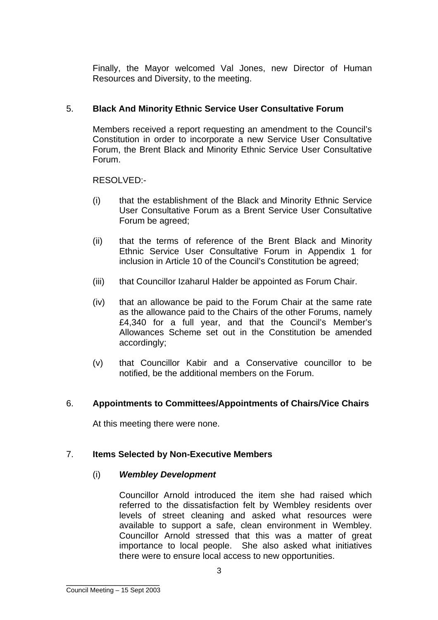Finally, the Mayor welcomed Val Jones, new Director of Human Resources and Diversity, to the meeting.

# 5. **Black And Minority Ethnic Service User Consultative Forum**

Members received a report requesting an amendment to the Council's Constitution in order to incorporate a new Service User Consultative Forum, the Brent Black and Minority Ethnic Service User Consultative Forum.

RESOLVED:-

- (i) that the establishment of the Black and Minority Ethnic Service User Consultative Forum as a Brent Service User Consultative Forum be agreed;
- (ii) that the terms of reference of the Brent Black and Minority Ethnic Service User Consultative Forum in Appendix 1 for inclusion in Article 10 of the Council's Constitution be agreed;
- (iii) that Councillor Izaharul Halder be appointed as Forum Chair.
- (iv) that an allowance be paid to the Forum Chair at the same rate as the allowance paid to the Chairs of the other Forums, namely £4,340 for a full year, and that the Council's Member's Allowances Scheme set out in the Constitution be amended accordingly;
- (v) that Councillor Kabir and a Conservative councillor to be notified, be the additional members on the Forum.

### 6. **Appointments to Committees/Appointments of Chairs/Vice Chairs**

At this meeting there were none.

### 7. **Items Selected by Non-Executive Members**

### (i) *Wembley Development*

Councillor Arnold introduced the item she had raised which referred to the dissatisfaction felt by Wembley residents over levels of street cleaning and asked what resources were available to support a safe, clean environment in Wembley. Councillor Arnold stressed that this was a matter of great importance to local people. She also asked what initiatives there were to ensure local access to new opportunities.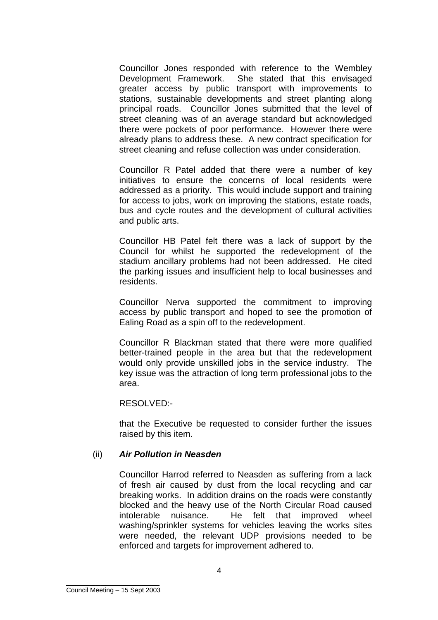Councillor Jones responded with reference to the Wembley Development Framework. She stated that this envisaged greater access by public transport with improvements to stations, sustainable developments and street planting along principal roads. Councillor Jones submitted that the level of street cleaning was of an average standard but acknowledged there were pockets of poor performance. However there were already plans to address these. A new contract specification for street cleaning and refuse collection was under consideration.

Councillor R Patel added that there were a number of key initiatives to ensure the concerns of local residents were addressed as a priority. This would include support and training for access to jobs, work on improving the stations, estate roads, bus and cycle routes and the development of cultural activities and public arts.

Councillor HB Patel felt there was a lack of support by the Council for whilst he supported the redevelopment of the stadium ancillary problems had not been addressed. He cited the parking issues and insufficient help to local businesses and residents.

Councillor Nerva supported the commitment to improving access by public transport and hoped to see the promotion of Ealing Road as a spin off to the redevelopment.

Councillor R Blackman stated that there were more qualified better-trained people in the area but that the redevelopment would only provide unskilled jobs in the service industry. The key issue was the attraction of long term professional jobs to the area.

RESOLVED:-

that the Executive be requested to consider further the issues raised by this item.

### (ii) *Air Pollution in Neasden*

Councillor Harrod referred to Neasden as suffering from a lack of fresh air caused by dust from the local recycling and car breaking works. In addition drains on the roads were constantly blocked and the heavy use of the North Circular Road caused intolerable nuisance. He felt that improved wheel washing/sprinkler systems for vehicles leaving the works sites were needed, the relevant UDP provisions needed to be enforced and targets for improvement adhered to.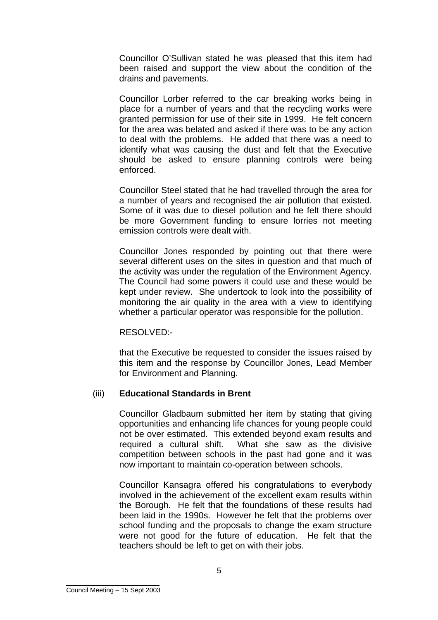Councillor O'Sullivan stated he was pleased that this item had been raised and support the view about the condition of the drains and pavements.

Councillor Lorber referred to the car breaking works being in place for a number of years and that the recycling works were granted permission for use of their site in 1999. He felt concern for the area was belated and asked if there was to be any action to deal with the problems. He added that there was a need to identify what was causing the dust and felt that the Executive should be asked to ensure planning controls were being enforced.

Councillor Steel stated that he had travelled through the area for a number of years and recognised the air pollution that existed. Some of it was due to diesel pollution and he felt there should be more Government funding to ensure lorries not meeting emission controls were dealt with.

Councillor Jones responded by pointing out that there were several different uses on the sites in question and that much of the activity was under the regulation of the Environment Agency. The Council had some powers it could use and these would be kept under review. She undertook to look into the possibility of monitoring the air quality in the area with a view to identifying whether a particular operator was responsible for the pollution.

#### RESOLVED:-

that the Executive be requested to consider the issues raised by this item and the response by Councillor Jones, Lead Member for Environment and Planning.

#### (iii) **Educational Standards in Brent**

Councillor Gladbaum submitted her item by stating that giving opportunities and enhancing life chances for young people could not be over estimated. This extended beyond exam results and required a cultural shift. What she saw as the divisive competition between schools in the past had gone and it was now important to maintain co-operation between schools.

Councillor Kansagra offered his congratulations to everybody involved in the achievement of the excellent exam results within the Borough. He felt that the foundations of these results had been laid in the 1990s. However he felt that the problems over school funding and the proposals to change the exam structure were not good for the future of education. He felt that the teachers should be left to get on with their jobs.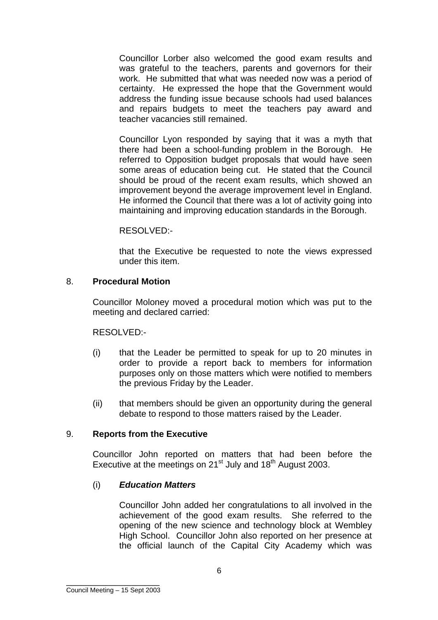Councillor Lorber also welcomed the good exam results and was grateful to the teachers, parents and governors for their work. He submitted that what was needed now was a period of certainty. He expressed the hope that the Government would address the funding issue because schools had used balances and repairs budgets to meet the teachers pay award and teacher vacancies still remained.

Councillor Lyon responded by saying that it was a myth that there had been a school-funding problem in the Borough. He referred to Opposition budget proposals that would have seen some areas of education being cut. He stated that the Council should be proud of the recent exam results, which showed an improvement beyond the average improvement level in England. He informed the Council that there was a lot of activity going into maintaining and improving education standards in the Borough.

### RESOLVED:-

that the Executive be requested to note the views expressed under this item.

### 8. **Procedural Motion**

Councillor Moloney moved a procedural motion which was put to the meeting and declared carried:

RESOLVED:-

- (i) that the Leader be permitted to speak for up to 20 minutes in order to provide a report back to members for information purposes only on those matters which were notified to members the previous Friday by the Leader.
- (ii) that members should be given an opportunity during the general debate to respond to those matters raised by the Leader.

### 9. **Reports from the Executive**

Councillor John reported on matters that had been before the Executive at the meetings on  $21<sup>st</sup>$  July and  $18<sup>th</sup>$  August 2003.

### (i) *Education Matters*

Councillor John added her congratulations to all involved in the achievement of the good exam results. She referred to the opening of the new science and technology block at Wembley High School. Councillor John also reported on her presence at the official launch of the Capital City Academy which was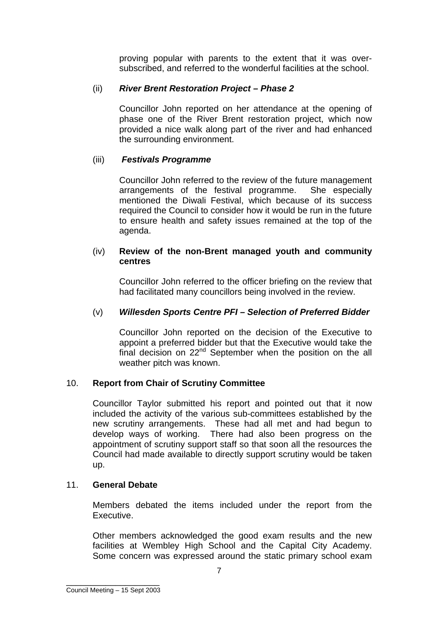proving popular with parents to the extent that it was oversubscribed, and referred to the wonderful facilities at the school.

# (ii) *River Brent Restoration Project – Phase 2*

Councillor John reported on her attendance at the opening of phase one of the River Brent restoration project, which now provided a nice walk along part of the river and had enhanced the surrounding environment.

# (iii) *Festivals Programme*

Councillor John referred to the review of the future management arrangements of the festival programme. She especially mentioned the Diwali Festival, which because of its success required the Council to consider how it would be run in the future to ensure health and safety issues remained at the top of the agenda.

### (iv) **Review of the non-Brent managed youth and community centres**

Councillor John referred to the officer briefing on the review that had facilitated many councillors being involved in the review.

## (v) *Willesden Sports Centre PFI – Selection of Preferred Bidder*

Councillor John reported on the decision of the Executive to appoint a preferred bidder but that the Executive would take the final decision on  $22<sup>nd</sup>$  September when the position on the all weather pitch was known.

### 10. **Report from Chair of Scrutiny Committee**

Councillor Taylor submitted his report and pointed out that it now included the activity of the various sub-committees established by the new scrutiny arrangements. These had all met and had begun to develop ways of working. There had also been progress on the appointment of scrutiny support staff so that soon all the resources the Council had made available to directly support scrutiny would be taken up.

### 11. **General Debate**

Members debated the items included under the report from the Executive.

Other members acknowledged the good exam results and the new facilities at Wembley High School and the Capital City Academy. Some concern was expressed around the static primary school exam

\_\_\_\_\_\_\_\_\_\_\_\_\_\_\_\_\_\_\_ Council Meeting – 15 Sept 2003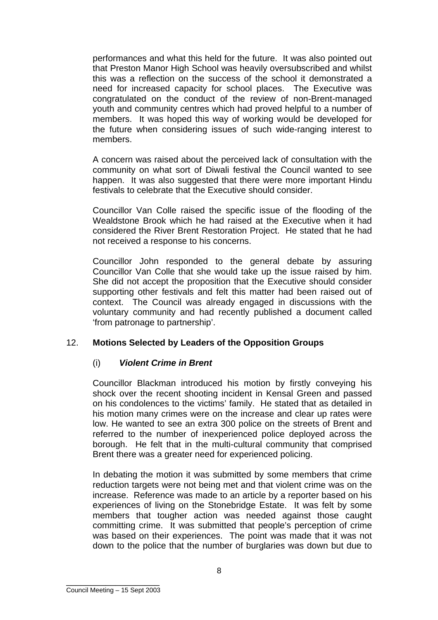performances and what this held for the future. It was also pointed out that Preston Manor High School was heavily oversubscribed and whilst this was a reflection on the success of the school it demonstrated a need for increased capacity for school places. The Executive was congratulated on the conduct of the review of non-Brent-managed youth and community centres which had proved helpful to a number of members. It was hoped this way of working would be developed for the future when considering issues of such wide-ranging interest to members.

A concern was raised about the perceived lack of consultation with the community on what sort of Diwali festival the Council wanted to see happen. It was also suggested that there were more important Hindu festivals to celebrate that the Executive should consider.

Councillor Van Colle raised the specific issue of the flooding of the Wealdstone Brook which he had raised at the Executive when it had considered the River Brent Restoration Project. He stated that he had not received a response to his concerns.

Councillor John responded to the general debate by assuring Councillor Van Colle that she would take up the issue raised by him. She did not accept the proposition that the Executive should consider supporting other festivals and felt this matter had been raised out of context. The Council was already engaged in discussions with the voluntary community and had recently published a document called 'from patronage to partnership'.

### 12. **Motions Selected by Leaders of the Opposition Groups**

#### (i) *Violent Crime in Brent*

Councillor Blackman introduced his motion by firstly conveying his shock over the recent shooting incident in Kensal Green and passed on his condolences to the victims' family. He stated that as detailed in his motion many crimes were on the increase and clear up rates were low. He wanted to see an extra 300 police on the streets of Brent and referred to the number of inexperienced police deployed across the borough. He felt that in the multi-cultural community that comprised Brent there was a greater need for experienced policing.

In debating the motion it was submitted by some members that crime reduction targets were not being met and that violent crime was on the increase. Reference was made to an article by a reporter based on his experiences of living on the Stonebridge Estate. It was felt by some members that tougher action was needed against those caught committing crime. It was submitted that people's perception of crime was based on their experiences. The point was made that it was not down to the police that the number of burglaries was down but due to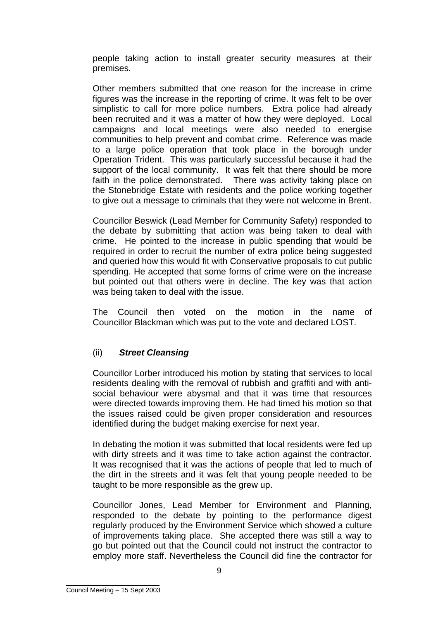people taking action to install greater security measures at their premises.

Other members submitted that one reason for the increase in crime figures was the increase in the reporting of crime. It was felt to be over simplistic to call for more police numbers. Extra police had already been recruited and it was a matter of how they were deployed. Local campaigns and local meetings were also needed to energise communities to help prevent and combat crime. Reference was made to a large police operation that took place in the borough under Operation Trident. This was particularly successful because it had the support of the local community. It was felt that there should be more faith in the police demonstrated. There was activity taking place on the Stonebridge Estate with residents and the police working together to give out a message to criminals that they were not welcome in Brent.

Councillor Beswick (Lead Member for Community Safety) responded to the debate by submitting that action was being taken to deal with crime. He pointed to the increase in public spending that would be required in order to recruit the number of extra police being suggested and queried how this would fit with Conservative proposals to cut public spending. He accepted that some forms of crime were on the increase but pointed out that others were in decline. The key was that action was being taken to deal with the issue.

The Council then voted on the motion in the name of Councillor Blackman which was put to the vote and declared LOST.

### (ii) *Street Cleansing*

Councillor Lorber introduced his motion by stating that services to local residents dealing with the removal of rubbish and graffiti and with antisocial behaviour were abysmal and that it was time that resources were directed towards improving them. He had timed his motion so that the issues raised could be given proper consideration and resources identified during the budget making exercise for next year.

In debating the motion it was submitted that local residents were fed up with dirty streets and it was time to take action against the contractor. It was recognised that it was the actions of people that led to much of the dirt in the streets and it was felt that young people needed to be taught to be more responsible as the grew up.

Councillor Jones, Lead Member for Environment and Planning, responded to the debate by pointing to the performance digest regularly produced by the Environment Service which showed a culture of improvements taking place. She accepted there was still a way to go but pointed out that the Council could not instruct the contractor to employ more staff. Nevertheless the Council did fine the contractor for

\_\_\_\_\_\_\_\_\_\_\_\_\_\_\_\_\_\_\_ Council Meeting – 15 Sept 2003